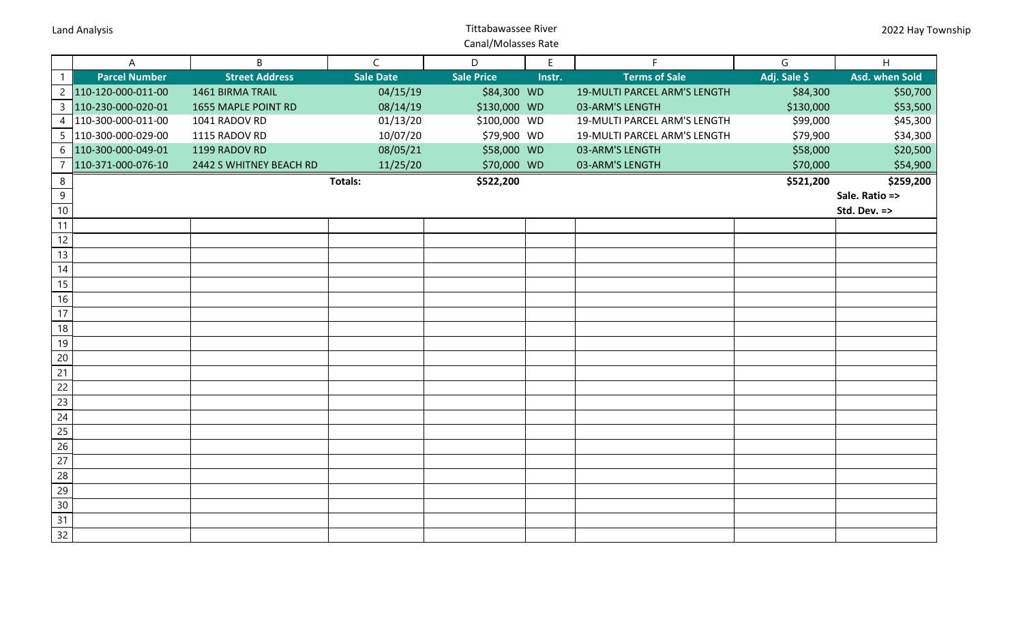## **Land Analysis Land Analysis Example 2018 Constrainers Constrainers Constrainers Constrainers Constrainers Constrainers Constrainers Constrainers Constrainers Constrainers Constrainers Constrain** Canal/Molasses Rate

|                | A                    | $\mathsf{B}$            | $\mathsf{C}$     | D                 | E      | F.                           | G            | H              |
|----------------|----------------------|-------------------------|------------------|-------------------|--------|------------------------------|--------------|----------------|
| $\mathbf{1}$   | <b>Parcel Number</b> | <b>Street Address</b>   | <b>Sale Date</b> | <b>Sale Price</b> | Instr. | <b>Terms of Sale</b>         | Adj. Sale \$ | Asd. when Sold |
| $\overline{2}$ | 110-120-000-011-00   | 1461 BIRMA TRAIL        | 04/15/19         | \$84,300 WD       |        | 19-MULTI PARCEL ARM'S LENGTH | \$84,300     | \$50,700       |
| $\mathsf{3}$   | 110-230-000-020-01   | 1655 MAPLE POINT RD     | 08/14/19         | \$130,000 WD      |        | 03-ARM'S LENGTH              | \$130,000    | \$53,500       |
| $\overline{4}$ | 110-300-000-011-00   | 1041 RADOV RD           | 01/13/20         | \$100,000 WD      |        | 19-MULTI PARCEL ARM'S LENGTH | \$99,000     | \$45,300       |
| 5              | 110-300-000-029-00   | 1115 RADOV RD           | 10/07/20         | \$79,900 WD       |        | 19-MULTI PARCEL ARM'S LENGTH | \$79,900     | \$34,300       |
| 6              | 110-300-000-049-01   | 1199 RADOV RD           | 08/05/21         | \$58,000 WD       |        | 03-ARM'S LENGTH              | \$58,000     | \$20,500       |
| 7              | 110-371-000-076-10   | 2442 S WHITNEY BEACH RD | 11/25/20         | \$70,000 WD       |        | 03-ARM'S LENGTH              | \$70,000     | \$54,900       |
| 8              |                      |                         | <b>Totals:</b>   | \$522,200         |        |                              | \$521,200    | \$259,200      |
| 9              |                      |                         |                  |                   |        |                              |              | Sale. Ratio => |
| $10\,$         |                      |                         |                  |                   |        |                              |              | Std. Dev. =>   |
| 11             |                      |                         |                  |                   |        |                              |              |                |
| 12             |                      |                         |                  |                   |        |                              |              |                |
| 13             |                      |                         |                  |                   |        |                              |              |                |
| 14             |                      |                         |                  |                   |        |                              |              |                |
| 15             |                      |                         |                  |                   |        |                              |              |                |
| 16             |                      |                         |                  |                   |        |                              |              |                |
| 17             |                      |                         |                  |                   |        |                              |              |                |
| 18             |                      |                         |                  |                   |        |                              |              |                |
| 19             |                      |                         |                  |                   |        |                              |              |                |
| 20             |                      |                         |                  |                   |        |                              |              |                |
| 21             |                      |                         |                  |                   |        |                              |              |                |
| 22             |                      |                         |                  |                   |        |                              |              |                |
| 23             |                      |                         |                  |                   |        |                              |              |                |
| 24             |                      |                         |                  |                   |        |                              |              |                |
| 25             |                      |                         |                  |                   |        |                              |              |                |
| 26             |                      |                         |                  |                   |        |                              |              |                |
| 27             |                      |                         |                  |                   |        |                              |              |                |
| 28             |                      |                         |                  |                   |        |                              |              |                |
| 29             |                      |                         |                  |                   |        |                              |              |                |
| 30             |                      |                         |                  |                   |        |                              |              |                |
| 31             |                      |                         |                  |                   |        |                              |              |                |
| 32             |                      |                         |                  |                   |        |                              |              |                |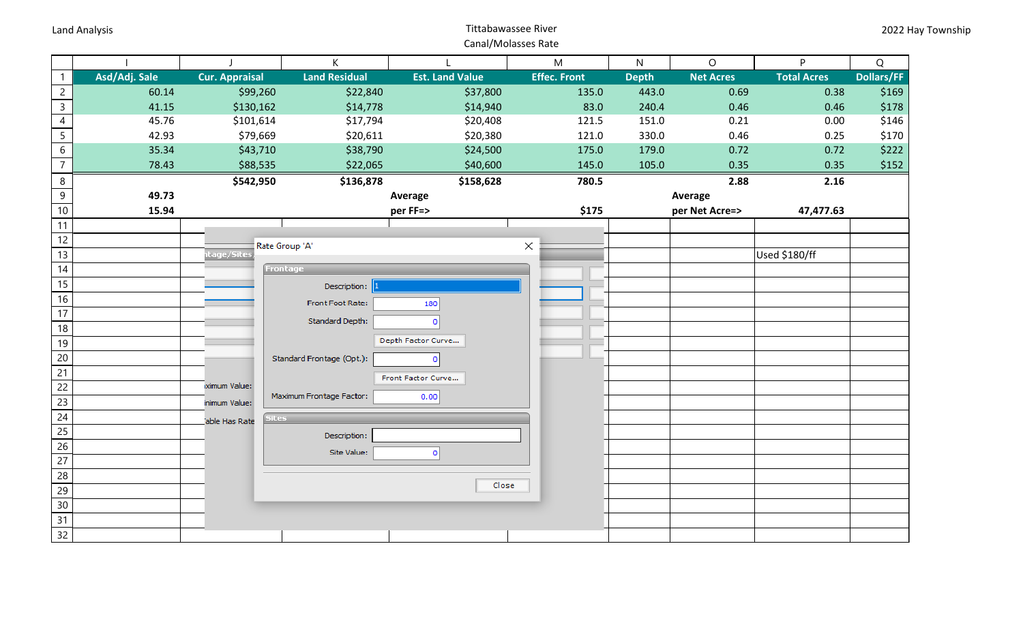## **Land Analysis Land Analysis Example 2018 Constrainers Constrainers Constrainers Constrainers Constrainers Constrainers Constrainers Constrainers Constrainers Constrainers Constrainers Constrain** Canal/Molasses Rate

|                 |               |                               | K                         |                        | ${\sf M}$           | $\mathsf{N}$ | $\circ$          | <b>P</b>           | Q                 |
|-----------------|---------------|-------------------------------|---------------------------|------------------------|---------------------|--------------|------------------|--------------------|-------------------|
| $\mathbf{1}$    | Asd/Adj. Sale | <b>Cur. Appraisal</b>         | <b>Land Residual</b>      | <b>Est. Land Value</b> | <b>Effec. Front</b> | <b>Depth</b> | <b>Net Acres</b> | <b>Total Acres</b> | <b>Dollars/FF</b> |
| $\overline{c}$  | 60.14         | \$99,260                      | \$22,840                  | \$37,800               | 135.0               | 443.0        | 0.69             | 0.38               | \$169             |
| $\overline{3}$  | 41.15         | \$130,162                     | \$14,778                  | \$14,940               | 83.0                | 240.4        | 0.46             | 0.46               | \$178             |
| $\overline{4}$  | 45.76         | \$101,614                     | \$17,794                  | \$20,408               | 121.5               | 151.0        | 0.21             | 0.00               | \$146             |
| $\overline{5}$  | 42.93         | \$79,669                      | \$20,611                  | \$20,380               | 121.0               | 330.0        | 0.46             | 0.25               | \$170             |
| $\sqrt{6}$      | 35.34         | \$43,710                      | \$38,790                  | \$24,500               | 175.0               | 179.0        | 0.72             | 0.72               | \$222             |
| $\overline{7}$  | 78.43         | \$88,535                      | \$22,065                  | \$40,600               | 145.0               | 105.0        | 0.35             | 0.35               | \$152             |
| 8               |               | \$542,950                     | \$136,878                 | \$158,628              | 780.5               |              | 2.88             | 2.16               |                   |
| $\overline{9}$  | 49.73         |                               |                           | Average                |                     |              | Average          |                    |                   |
| 10              | 15.94         |                               |                           | per FF=>               | \$175               |              | per Net Acre=>   | 47,477.63          |                   |
| 11              |               |                               |                           |                        |                     |              |                  |                    |                   |
| 12              |               |                               | Rate Group 'A'            |                        | $\times$            |              |                  |                    |                   |
| 13              |               | tage/Sites                    |                           |                        |                     |              |                  | Used \$180/ff      |                   |
| 14              |               |                               | Frontage                  |                        |                     |              |                  |                    |                   |
| 15              |               |                               | Description:              |                        |                     |              |                  |                    |                   |
| 16              |               |                               | <b>Front Foot Rate:</b>   | 180                    |                     |              |                  |                    |                   |
| 17              |               |                               | Standard Depth:           | 0                      |                     |              |                  |                    |                   |
| 18              |               |                               |                           |                        |                     |              |                  |                    |                   |
| 19              |               |                               |                           | Depth Factor Curve     |                     |              |                  |                    |                   |
| 20              |               |                               | Standard Frontage (Opt.): | 0                      |                     |              |                  |                    |                   |
| 21              |               |                               |                           | Front Factor Curve     |                     |              |                  |                    |                   |
| $\overline{22}$ |               | ximum Value:                  | Maximum Frontage Factor:  | 0.00                   |                     |              |                  |                    |                   |
| 23              |               | inimum Value:                 |                           |                        |                     |              |                  |                    |                   |
| 24              |               | <b>Sites</b><br>able Has Rate |                           |                        |                     |              |                  |                    |                   |
| 25              |               |                               | Description:              |                        |                     |              |                  |                    |                   |
| $\overline{26}$ |               |                               | Site Value:               | $\bullet$              |                     |              |                  |                    |                   |
| 27              |               |                               |                           |                        |                     |              |                  |                    |                   |
| 28              |               |                               |                           | Close                  |                     |              |                  |                    |                   |
| 29              |               |                               |                           |                        |                     |              |                  |                    |                   |
| 30              |               |                               |                           |                        |                     |              |                  |                    |                   |
| 31              |               |                               |                           |                        |                     |              |                  |                    |                   |
| 32              |               |                               |                           |                        |                     |              |                  |                    |                   |